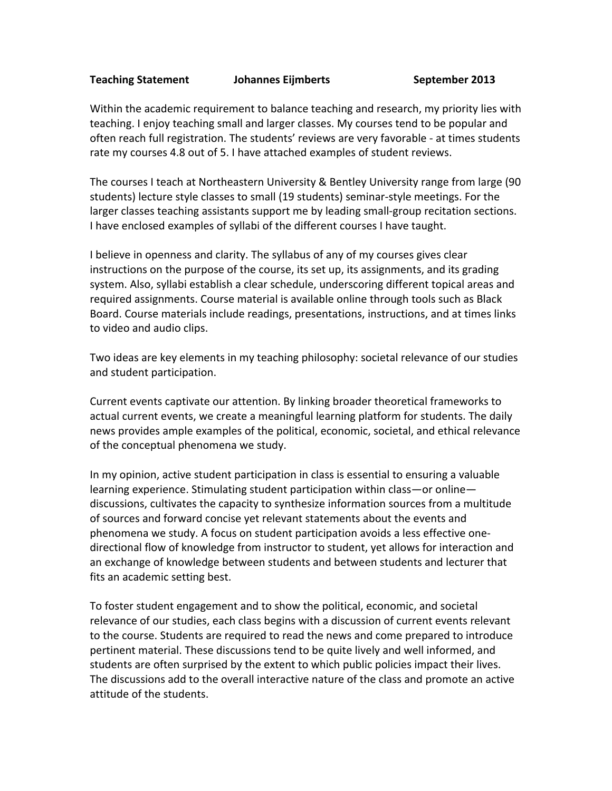## **Teaching Statement Johannes Eijmberts September 2013**

Within the academic requirement to balance teaching and research, my priority lies with teaching. I enjoy teaching small and larger classes. My courses tend to be popular and often reach full registration. The students' reviews are very favorable - at times students rate my courses 4.8 out of 5. I have attached examples of student reviews.

The courses I teach at Northeastern University & Bentley University range from large (90 students) lecture style classes to small (19 students) seminar-style meetings. For the larger classes teaching assistants support me by leading small-group recitation sections. I have enclosed examples of syllabi of the different courses I have taught.

I believe in openness and clarity. The syllabus of any of my courses gives clear instructions on the purpose of the course, its set up, its assignments, and its grading system. Also, syllabi establish a clear schedule, underscoring different topical areas and required assignments. Course material is available online through tools such as Black Board. Course materials include readings, presentations, instructions, and at times links to video and audio clips.

Two ideas are key elements in my teaching philosophy: societal relevance of our studies and student participation.

Current events captivate our attention. By linking broader theoretical frameworks to actual current events, we create a meaningful learning platform for students. The daily news provides ample examples of the political, economic, societal, and ethical relevance of the conceptual phenomena we study.

In my opinion, active student participation in class is essential to ensuring a valuable learning experience. Stimulating student participation within class—or online discussions, cultivates the capacity to synthesize information sources from a multitude of sources and forward concise yet relevant statements about the events and phenomena we study. A focus on student participation avoids a less effective onedirectional flow of knowledge from instructor to student, yet allows for interaction and an exchange of knowledge between students and between students and lecturer that fits an academic setting best.

To foster student engagement and to show the political, economic, and societal relevance of our studies, each class begins with a discussion of current events relevant to the course. Students are required to read the news and come prepared to introduce pertinent material. These discussions tend to be quite lively and well informed, and students are often surprised by the extent to which public policies impact their lives. The discussions add to the overall interactive nature of the class and promote an active attitude of the students.